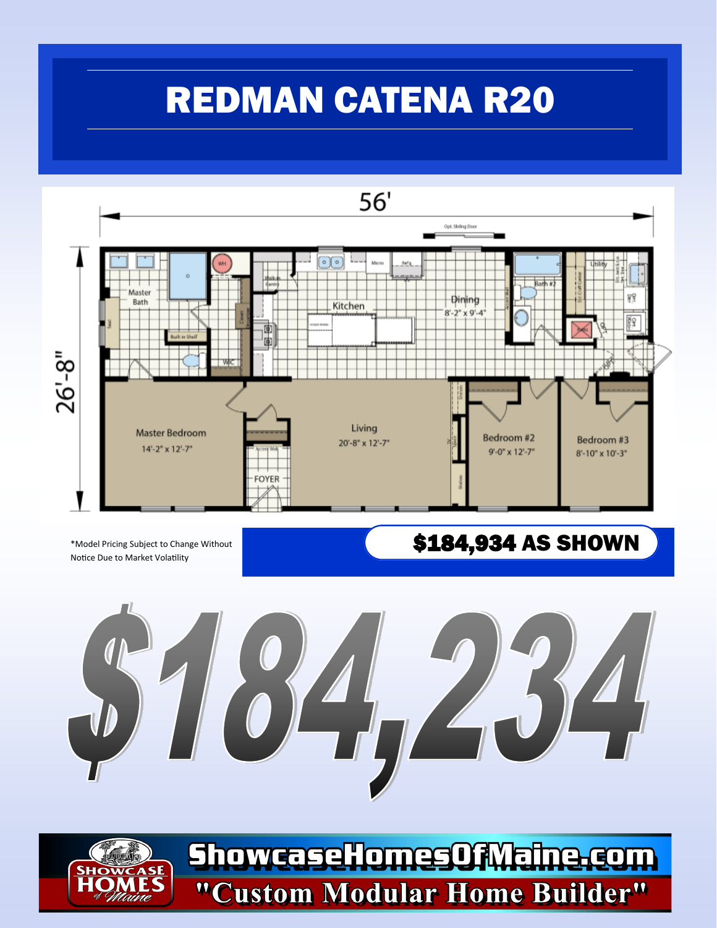## REDMAN CATENA R20



Notice Due to Market Volatility

\*Model Pricing Subject to Change Without **Name and S184,934 AS SHOWN** 



ShowcaseHomesOfMaine.com **ASE** "Custom Modular Home Builder"